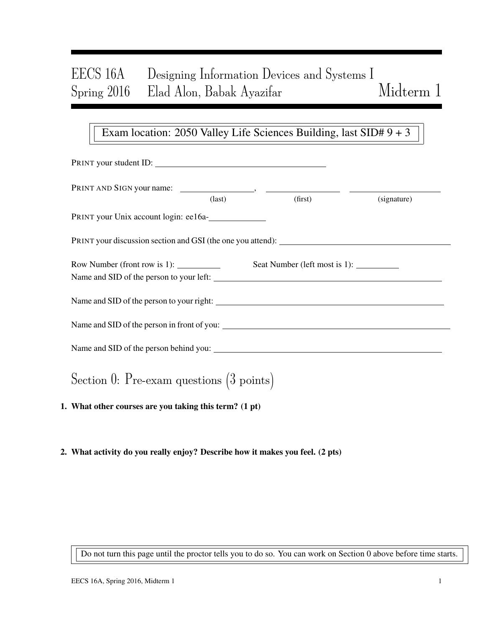# EECS 16A Designing Information Devices and Systems I Spring 2016 Elad Alon, Babak Ayazifar Midterm 1

### Exam location: 2050 Valley Life Sciences Building, last SID# 9 + 3

| PRINT your student ID:                                                                                                                                                                                                                                                                                                                                                                                    |                 |         |             |
|-----------------------------------------------------------------------------------------------------------------------------------------------------------------------------------------------------------------------------------------------------------------------------------------------------------------------------------------------------------------------------------------------------------|-----------------|---------|-------------|
|                                                                                                                                                                                                                                                                                                                                                                                                           | $\text{(last)}$ | (first) | (signature) |
| PRINT your Unix account login: ee16a-                                                                                                                                                                                                                                                                                                                                                                     |                 |         |             |
| PRINT your discussion section and GSI (the one you attend):                                                                                                                                                                                                                                                                                                                                               |                 |         |             |
| Row Number (front row is 1): $\frac{1}{\sqrt{1-\frac{1}{\sqrt{1-\frac{1}{\sqrt{1-\frac{1}{\sqrt{1-\frac{1}{\sqrt{1-\frac{1}{\sqrt{1-\frac{1}{\sqrt{1-\frac{1}{\sqrt{1-\frac{1}{\sqrt{1-\frac{1}{\sqrt{1-\frac{1}{\sqrt{1-\frac{1}{\sqrt{1-\frac{1}{\sqrt{1-\frac{1}{\sqrt{1-\frac{1}{\sqrt{1-\frac{1}{\sqrt{1-\frac{1}{\sqrt{1-\frac{1}{\sqrt{1-\frac{1}{\sqrt{1-\frac{1}{\sqrt{1-\frac{1}{\sqrt{1-\frac$ |                 |         |             |
| Name and SID of the person to your right:                                                                                                                                                                                                                                                                                                                                                                 |                 |         |             |
|                                                                                                                                                                                                                                                                                                                                                                                                           |                 |         |             |
|                                                                                                                                                                                                                                                                                                                                                                                                           |                 |         |             |
| Section 0: Pre-exam questions $(3 \text{ points})$                                                                                                                                                                                                                                                                                                                                                        |                 |         |             |

- 1. What other courses are you taking this term? (1 pt)
- 2. What activity do you really enjoy? Describe how it makes you feel. (2 pts)

Do not turn this page until the proctor tells you to do so. You can work on Section 0 above before time starts.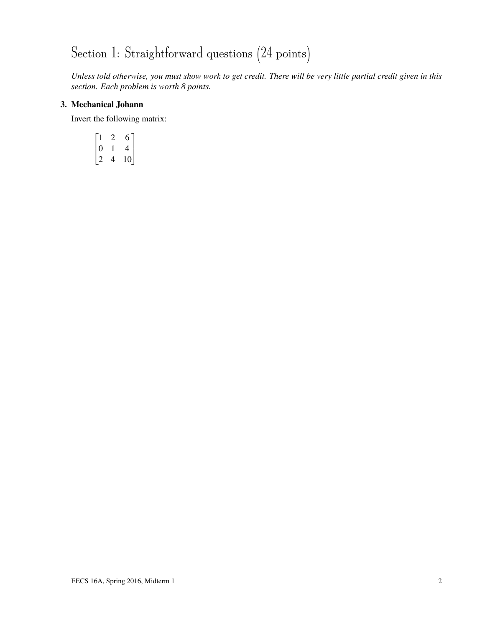# Section 1: Straightforward questions  $(24 \text{ points})$

*Unless told otherwise, you must show work to get credit. There will be very little partial credit given in this section. Each problem is worth 8 points.*

### 3. Mechanical Johann

Invert the following matrix:

$$
\begin{bmatrix} 1 & 2 & 6 \ 0 & 1 & 4 \ 2 & 4 & 10 \end{bmatrix}
$$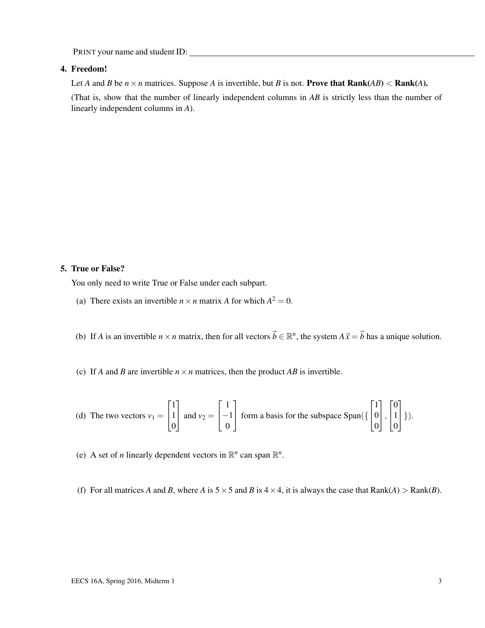#### 4. Freedom!

Let *A* and *B* be  $n \times n$  matrices. Suppose *A* is invertible, but *B* is not. **Prove that Rank**(*AB*) < **Rank**(*A*).

(That is, show that the number of linearly independent columns in *AB* is strictly less than the number of linearly independent columns in *A*).

### 5. True or False?

You only need to write True or False under each subpart.

- (a) There exists an invertible  $n \times n$  matrix *A* for which  $A^2 = 0$ .
- (b) If *A* is an invertible  $n \times n$  matrix, then for all vectors  $\vec{b} \in \mathbb{R}^n$ , the system  $A\vec{x} = \vec{b}$  has a unique solution.
- (c) If *A* and *B* are invertible  $n \times n$  matrices, then the product *AB* is invertible.

(d) The two vectors 
$$
v_1 = \begin{bmatrix} 1 \\ 1 \\ 0 \end{bmatrix}
$$
 and  $v_2 = \begin{bmatrix} 1 \\ -1 \\ 0 \end{bmatrix}$  form a basis for the subspace  $\text{Span}\left(\left\{ \begin{bmatrix} 1 \\ 0 \\ 0 \end{bmatrix}, \begin{bmatrix} 0 \\ 1 \\ 0 \end{bmatrix} \right\} \right)$ .

- (e) A set of *n* linearly dependent vectors in  $\mathbb{R}^n$  can span  $\mathbb{R}^n$ .
- (f) For all matrices *A* and *B*, where *A* is  $5 \times 5$  and *B* is  $4 \times 4$ , it is always the case that  $Rank(A) > Rank(B)$ .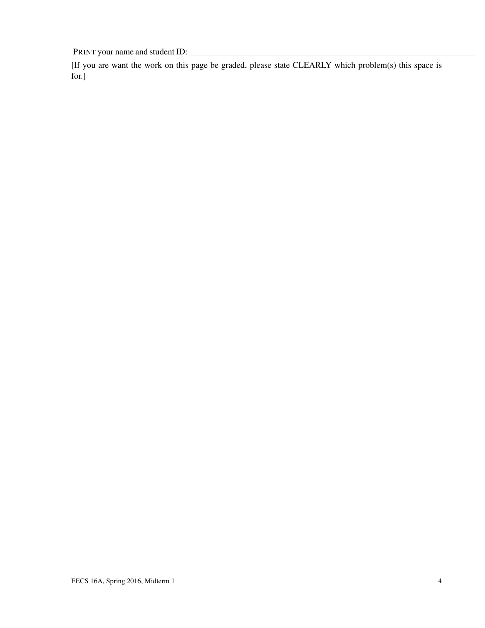[If you are want the work on this page be graded, please state CLEARLY which problem(s) this space is for.]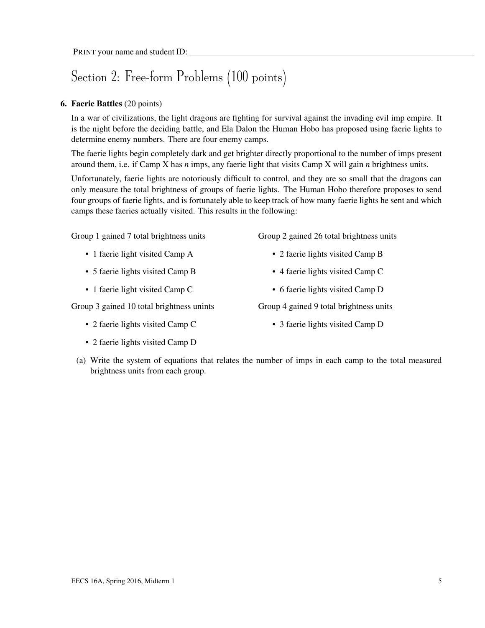## Section 2: Free-form Problems (100 points)

### 6. Faerie Battles (20 points)

In a war of civilizations, the light dragons are fighting for survival against the invading evil imp empire. It is the night before the deciding battle, and Ela Dalon the Human Hobo has proposed using faerie lights to determine enemy numbers. There are four enemy camps.

The faerie lights begin completely dark and get brighter directly proportional to the number of imps present around them, i.e. if Camp X has *n* imps, any faerie light that visits Camp X will gain *n* brightness units.

Unfortunately, faerie lights are notoriously difficult to control, and they are so small that the dragons can only measure the total brightness of groups of faerie lights. The Human Hobo therefore proposes to send four groups of faerie lights, and is fortunately able to keep track of how many faerie lights he sent and which camps these faeries actually visited. This results in the following:

Group 1 gained 7 total brightness units

- 1 faerie light visited Camp A
- 5 faerie lights visited Camp B
- 1 faerie light visited Camp C

Group 3 gained 10 total brightness unints

- 2 faerie lights visited Camp C
- 2 faerie lights visited Camp D

Group 2 gained 26 total brightness units

- 2 faerie lights visited Camp B
- 4 faerie lights visited Camp C
- 6 faerie lights visited Camp D

Group 4 gained 9 total brightness units

- 3 faerie lights visited Camp D
- (a) Write the system of equations that relates the number of imps in each camp to the total measured brightness units from each group.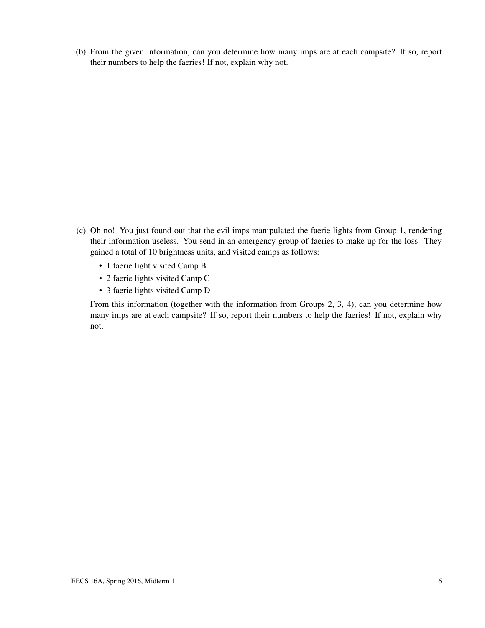(b) From the given information, can you determine how many imps are at each campsite? If so, report their numbers to help the faeries! If not, explain why not.

- (c) Oh no! You just found out that the evil imps manipulated the faerie lights from Group 1, rendering their information useless. You send in an emergency group of faeries to make up for the loss. They gained a total of 10 brightness units, and visited camps as follows:
	- 1 faerie light visited Camp B
	- 2 faerie lights visited Camp C
	- 3 faerie lights visited Camp D

From this information (together with the information from Groups 2, 3, 4), can you determine how many imps are at each campsite? If so, report their numbers to help the faeries! If not, explain why not.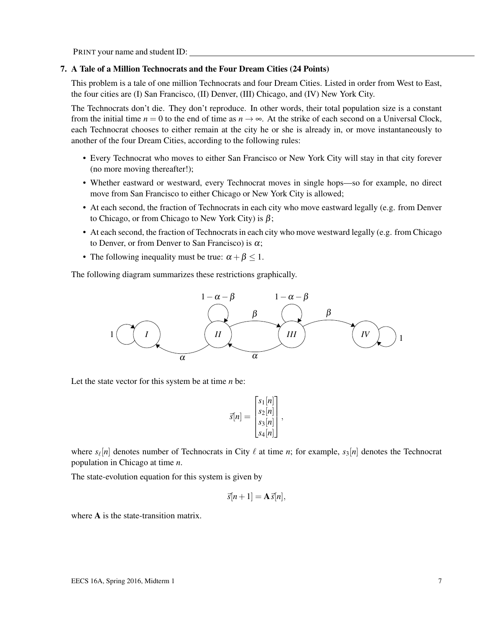### 7. A Tale of a Million Technocrats and the Four Dream Cities (24 Points)

This problem is a tale of one million Technocrats and four Dream Cities. Listed in order from West to East, the four cities are (I) San Francisco, (II) Denver, (III) Chicago, and (IV) New York City.

The Technocrats don't die. They don't reproduce. In other words, their total population size is a constant from the initial time  $n = 0$  to the end of time as  $n \to \infty$ . At the strike of each second on a Universal Clock, each Technocrat chooses to either remain at the city he or she is already in, or move instantaneously to another of the four Dream Cities, according to the following rules:

- Every Technocrat who moves to either San Francisco or New York City will stay in that city forever (no more moving thereafter!);
- Whether eastward or westward, every Technocrat moves in single hops—so for example, no direct move from San Francisco to either Chicago or New York City is allowed;
- At each second, the fraction of Technocrats in each city who move eastward legally (e.g. from Denver to Chicago, or from Chicago to New York City) is  $\beta$ ;
- At each second, the fraction of Technocrats in each city who move westward legally (e.g. from Chicago to Denver, or from Denver to San Francisco) is  $\alpha$ ;
- The following inequality must be true:  $\alpha + \beta \leq 1$ .

The following diagram summarizes these restrictions graphically.



Let the state vector for this system be at time *n* be:

$$
\vec{s}[n] = \begin{bmatrix} s_1[n] \\ s_2[n] \\ s_3[n] \\ s_4[n] \end{bmatrix},
$$

where  $s_{\ell}[n]$  denotes number of Technocrats in City  $\ell$  at time *n*; for example,  $s_3[n]$  denotes the Technocrat population in Chicago at time *n*.

The state-evolution equation for this system is given by

$$
\vec{s}[n+1] = \mathbf{A}\vec{s}[n],
$$

where **A** is the state-transition matrix.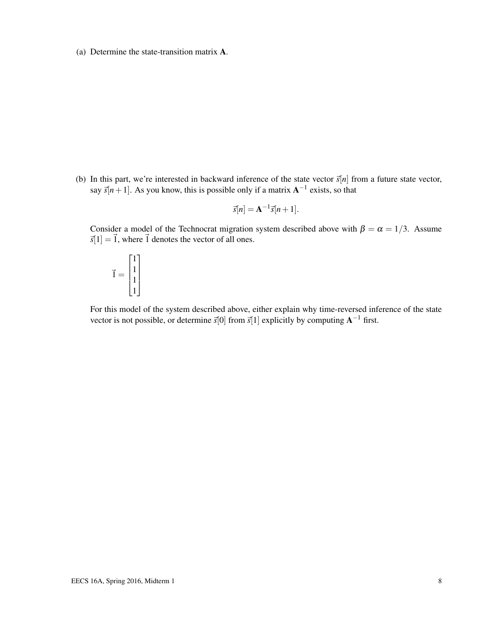(a) Determine the state-transition matrix A.

(b) In this part, we're interested in backward inference of the state vector  $\vec{s}[n]$  from a future state vector, say  $\vec{s}[n+1]$ . As you know, this is possible only if a matrix  $A^{-1}$  exists, so that

$$
\vec{s}[n] = \mathbf{A}^{-1}\vec{s}[n+1].
$$

Consider a model of the Technocrat migration system described above with  $\beta = \alpha = 1/3$ . Assume  $\vec{s}[1] = \vec{1}$ , where  $\vec{1}$  denotes the vector of all ones.

$$
\vec{1} = \begin{bmatrix} 1 \\ 1 \\ 1 \\ 1 \end{bmatrix}
$$

For this model of the system described above, either explain why time-reversed inference of the state vector is not possible, or determine  $\vec{s}[0]$  from  $\vec{s}[1]$  explicitly by computing  $A^{-1}$  first.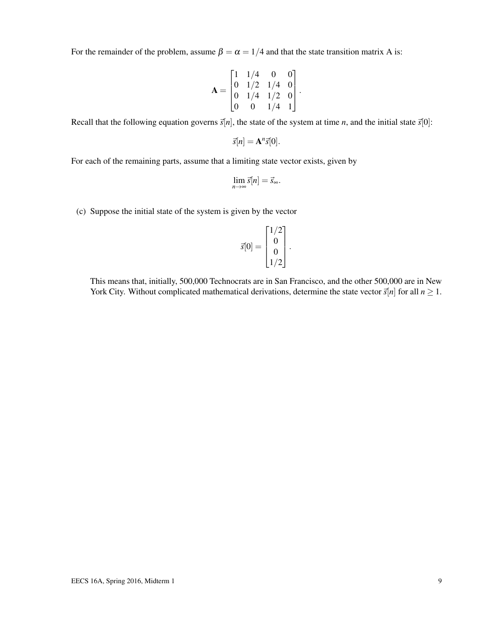For the remainder of the problem, assume  $\beta = \alpha = 1/4$  and that the state transition matrix A is:

$$
\mathbf{A} = \begin{bmatrix} 1 & 1/4 & 0 & 0 \\ 0 & 1/2 & 1/4 & 0 \\ 0 & 1/4 & 1/2 & 0 \\ 0 & 0 & 1/4 & 1 \end{bmatrix}.
$$

Recall that the following equation governs  $\vec{s}[n]$ , the state of the system at time *n*, and the initial state  $\vec{s}[0]$ :

$$
\vec{s}[n] = \mathbf{A}^n \vec{s}[0].
$$

For each of the remaining parts, assume that a limiting state vector exists, given by

$$
\lim_{n\to\infty}\vec{s}[n]=\vec{s}_{\infty}.
$$

(c) Suppose the initial state of the system is given by the vector

$$
\vec{s}[0] = \begin{bmatrix} 1/2 \\ 0 \\ 0 \\ 1/2 \end{bmatrix}.
$$

This means that, initially, 500,000 Technocrats are in San Francisco, and the other 500,000 are in New York City. Without complicated mathematical derivations, determine the state vector  $\vec{s}[n]$  for all  $n \ge 1$ .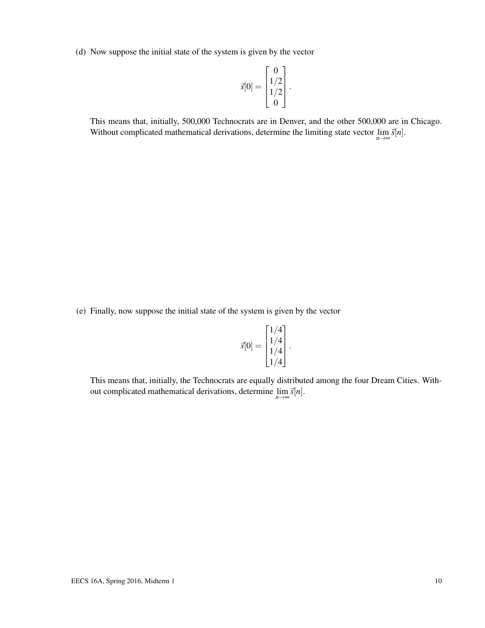(d) Now suppose the initial state of the system is given by the vector

$$
\vec{s}[0] = \begin{bmatrix} 0 \\ 1/2 \\ 1/2 \\ 0 \end{bmatrix}.
$$

This means that, initially, 500,000 Technocrats are in Denver, and the other 500,000 are in Chicago. Without complicated mathematical derivations, determine the limiting state vector  $\lim_{n\to\infty} \vec{s}[n]$ .

(e) Finally, now suppose the initial state of the system is given by the vector

$$
\vec{s}[0] = \begin{bmatrix} 1/4 \\ 1/4 \\ 1/4 \\ 1/4 \end{bmatrix}.
$$

This means that, initially, the Technocrats are equally distributed among the four Dream Cities. Without complicated mathematical derivations, determine  $\lim_{n\to\infty} \vec{s}[n]$ .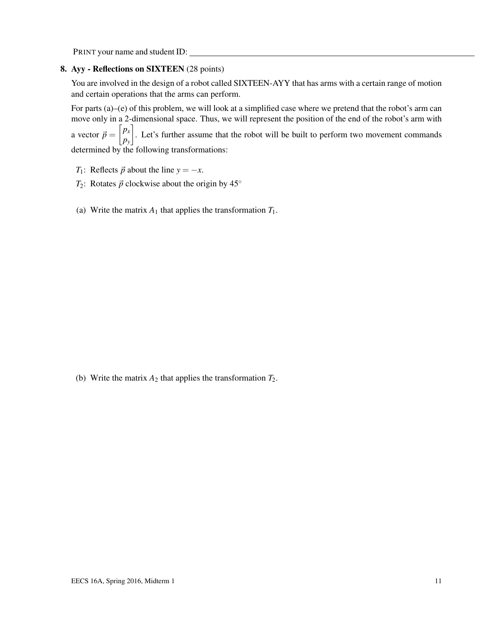### 8. Ayy - Reflections on SIXTEEN (28 points)

You are involved in the design of a robot called SIXTEEN-AYY that has arms with a certain range of motion and certain operations that the arms can perform.

For parts (a)–(e) of this problem, we will look at a simplified case where we pretend that the robot's arm can move only in a 2-dimensional space. Thus, we will represent the position of the end of the robot's arm with a vector  $\vec{p} = \begin{bmatrix} p_x \\ p_y \end{bmatrix}$ *py* . Let's further assume that the robot will be built to perform two movement commands determined by the following transformations:

- *T*<sub>1</sub>: Reflects  $\vec{p}$  about the line  $y = -x$ .
- *T*<sub>2</sub>: Rotates  $\vec{p}$  clockwise about the origin by 45°
- (a) Write the matrix  $A_1$  that applies the transformation  $T_1$ .

(b) Write the matrix  $A_2$  that applies the transformation  $T_2$ .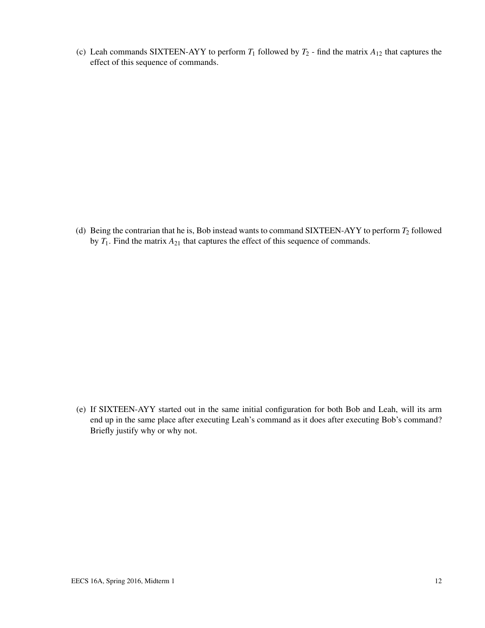(c) Leah commands SIXTEEN-AYY to perform  $T_1$  followed by  $T_2$  - find the matrix  $A_{12}$  that captures the effect of this sequence of commands.

(d) Being the contrarian that he is, Bob instead wants to command SIXTEEN-AYY to perform *T*<sup>2</sup> followed by *T*1. Find the matrix *A*<sup>21</sup> that captures the effect of this sequence of commands.

(e) If SIXTEEN-AYY started out in the same initial configuration for both Bob and Leah, will its arm end up in the same place after executing Leah's command as it does after executing Bob's command? Briefly justify why or why not.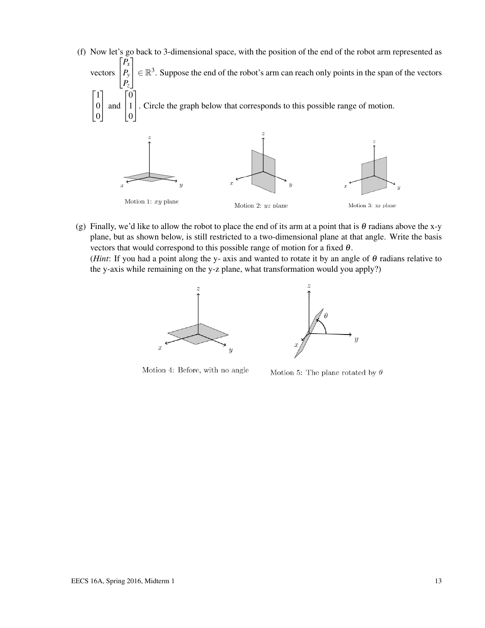(f) Now let's go back to 3-dimensional space, with the position of the end of the robot arm represented as vectors  $\sqrt{ }$  $\vert$ *Px Py Pz* 1  $\in \mathbb{R}^{3}$ . Suppose the end of the robot's arm can reach only points in the span of the vectors  $\lceil 1 \rceil$  $\overline{1}$ 0 0 1 and  $\sqrt{ }$  $\overline{1}$ 0  $\vert$  1 0 1 . Circle the graph below that corresponds to this possible range of motion.

Motion 1:  $xy$  plane

Motion 2:  $yz$  plane



(g) Finally, we'd like to allow the robot to place the end of its arm at a point that is  $\theta$  radians above the x-y plane, but as shown below, is still restricted to a two-dimensional plane at that angle. Write the basis vectors that would correspond to this possible range of motion for a fixed  $\theta$ .

(*Hint*: If you had a point along the y- axis and wanted to rotate it by an angle of  $\theta$  radians relative to the y-axis while remaining on the y-z plane, what transformation would you apply?)





Motion 4: Before, with no angle

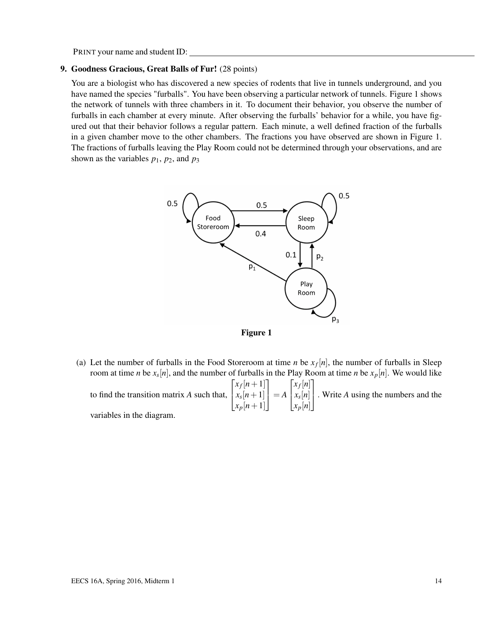### 9. Goodness Gracious, Great Balls of Fur! (28 points)

You are a biologist who has discovered a new species of rodents that live in tunnels underground, and you have named the species "furballs". You have been observing a particular network of tunnels. Figure 1 shows the network of tunnels with three chambers in it. To document their behavior, you observe the number of furballs in each chamber at every minute. After observing the furballs' behavior for a while, you have figured out that their behavior follows a regular pattern. Each minute, a well defined fraction of the furballs in a given chamber move to the other chambers. The fractions you have observed are shown in Figure 1. The fractions of furballs leaving the Play Room could not be determined through your observations, and are shown as the variables  $p_1$ ,  $p_2$ , and  $p_3$ 





(a) Let the number of furballs in the Food Storeroom at time *n* be  $x_f[n]$ , the number of furballs in Sleep room at time *n* be *x<sup>s</sup>* [*n*], and the number of furballs in the Play Room at time *n* be *xp*[*n*]. We would like to find the transition matrix *A* such that,  $\sqrt{ }$  $\overline{1}$  $x_f[n+1]$  $x_s[n+1]$ *xp*[*n*+1] 1  $\Big| = A$  $\sqrt{ }$  $\overline{1}$ *xf* [*n*] *xs* [*n*] *xp*[*n*] 1 . Write *<sup>A</sup>* using the numbers and the

variables in the diagram.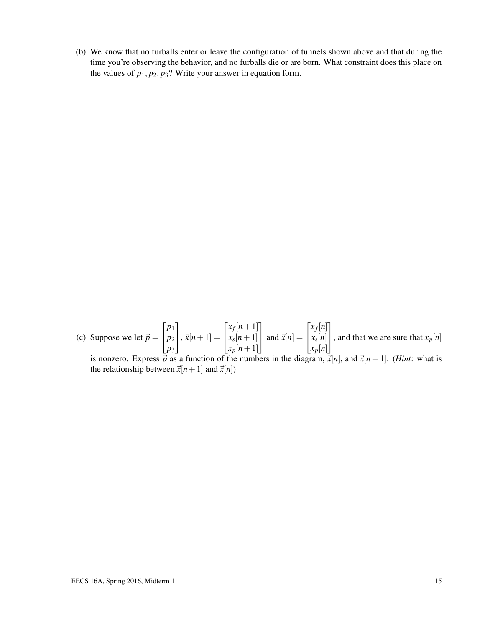(b) We know that no furballs enter or leave the configuration of tunnels shown above and that during the time you're observing the behavior, and no furballs die or are born. What constraint does this place on the values of  $p_1$ ,  $p_2$ ,  $p_3$ ? Write your answer in equation form.

(c) Suppose we let  $\vec{p} =$  $\sqrt{ }$  $\overline{1}$ *p*1 *p*2 *p*3 1  $\Big| , \vec{x}[n+1] =$  $\sqrt{ }$  $\overline{1}$  $x_f[n+1]$  $x_s[n+1]$  $x_p[n+1]$ 1 | and  $\vec{x}[n] =$  $\sqrt{ }$  $\overline{1}$ *xf* [*n*] *xs* [*n*] *xp*[*n*] 1 , and that we are sure that  $x_p[n]$ 

is nonzero. Express  $\overrightarrow{p}$  as a function of the numbers in the diagram,  $\overrightarrow{x}[n]$ , and  $\overrightarrow{x}[n+1]$ . (*Hint*: what is the relationship between  $\vec{x}[n+1]$  and  $\vec{x}[n]$ )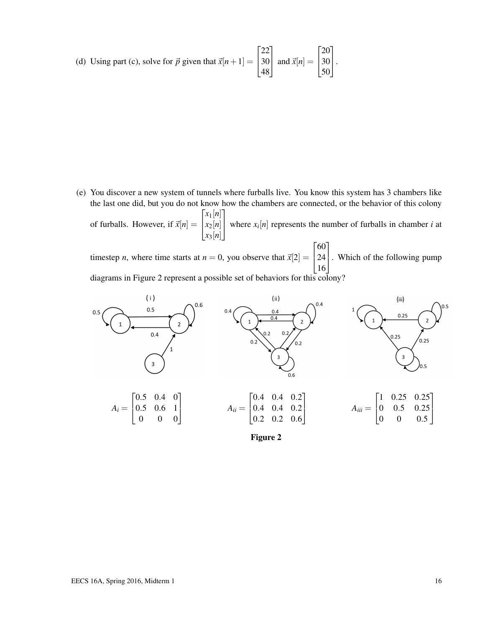(d) Using part (c), solve for 
$$
\vec{p}
$$
 given that  $\vec{x}[n+1] = \begin{bmatrix} 22 \\ 30 \\ 48 \end{bmatrix}$  and  $\vec{x}[n] = \begin{bmatrix} 20 \\ 30 \\ 50 \end{bmatrix}$ .

(e) You discover a new system of tunnels where furballs live. You know this system has 3 chambers like the last one did, but you do not know how the chambers are connected, or the behavior of this colony of furballs. However, if  $\vec{x}[n] =$  $\sqrt{ }$ <sup>1</sup> *x*1[*n*] *x*2[*n*] *x*3[*n*] 1 where  $x_i[n]$  represents the number of furballs in chamber *i* at

timestep *n*, where time starts at  $n = 0$ , you observe that  $\vec{x}[2] =$  $\sqrt{ }$  $\begin{bmatrix} 24 \\ 1 \end{bmatrix}$ 60 16 . Which of the following pump diagrams in Figure 2 represent a possible set of behaviors for this colony?



Figure 2